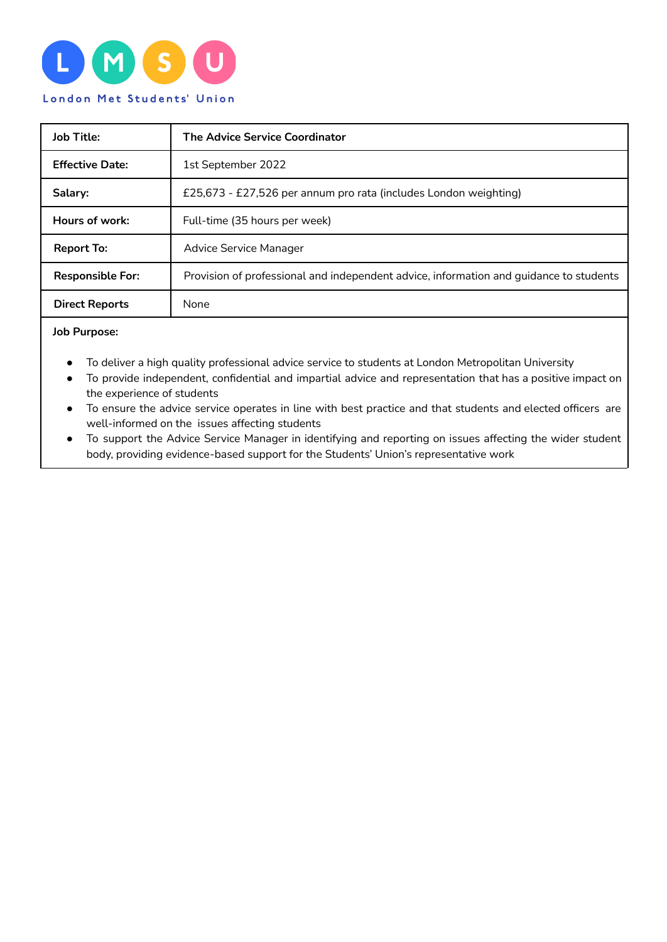

| <b>Job Title:</b>       | <b>The Advice Service Coordinator</b>                                                  |
|-------------------------|----------------------------------------------------------------------------------------|
| <b>Effective Date:</b>  | 1st September 2022                                                                     |
| Salary:                 | £25,673 - £27,526 per annum pro rata (includes London weighting)                       |
| Hours of work:          | Full-time (35 hours per week)                                                          |
| <b>Report To:</b>       | Advice Service Manager                                                                 |
| <b>Responsible For:</b> | Provision of professional and independent advice, information and guidance to students |
| <b>Direct Reports</b>   | None                                                                                   |

**Job Purpose:**

- To deliver a high quality professional advice service to students at London Metropolitan University
- To provide independent, confidential and impartial advice and representation that has a positive impact on the experience of students
- To ensure the advice service operates in line with best practice and that students and elected officers are well-informed on the issues affecting students
- To support the Advice Service Manager in identifying and reporting on issues affecting the wider student body, providing evidence-based support for the Students' Union's representative work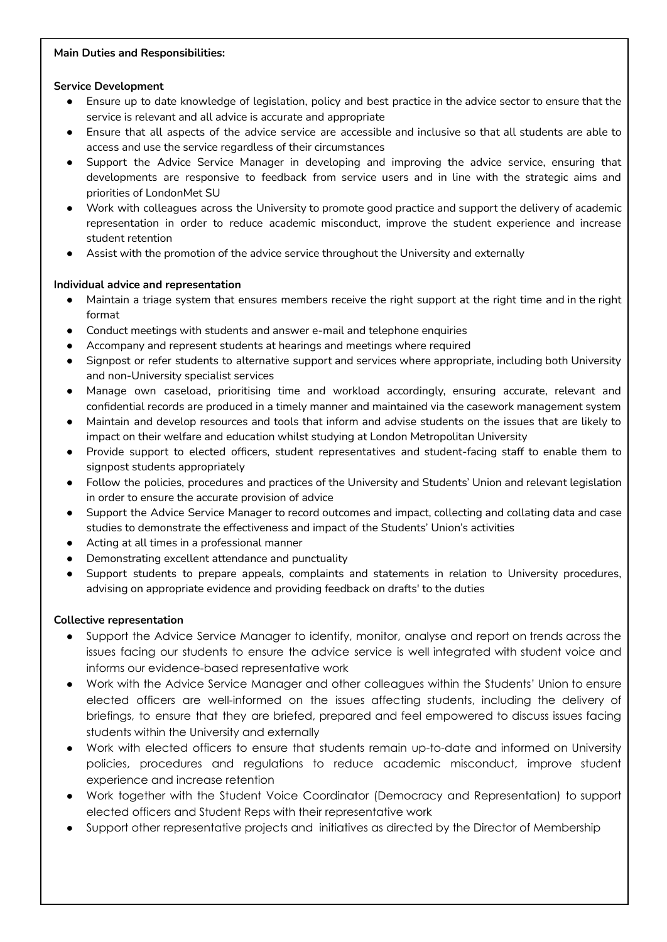## **Main Duties and Responsibilities:**

# **Service Development**

- Ensure up to date knowledge of legislation, policy and best practice in the advice sector to ensure that the service is relevant and all advice is accurate and appropriate
- Ensure that all aspects of the advice service are accessible and inclusive so that all students are able to access and use the service regardless of their circumstances
- Support the Advice Service Manager in developing and improving the advice service, ensuring that developments are responsive to feedback from service users and in line with the strategic aims and priorities of LondonMet SU
- Work with colleagues across the University to promote good practice and support the delivery of academic representation in order to reduce academic misconduct, improve the student experience and increase student retention
- Assist with the promotion of the advice service throughout the University and externally

# **Individual advice and representation**

- Maintain a triage system that ensures members receive the right support at the right time and in the right format
- Conduct meetings with students and answer e-mail and telephone enquiries
- Accompany and represent students at hearings and meetings where required
- Signpost or refer students to alternative support and services where appropriate, including both University and non-University specialist services
- Manage own caseload, prioritising time and workload accordingly, ensuring accurate, relevant and confidential records are produced in a timely manner and maintained via the casework management system
- Maintain and develop resources and tools that inform and advise students on the issues that are likely to impact on their welfare and education whilst studying at London Metropolitan University
- Provide support to elected officers, student representatives and student-facing staff to enable them to signpost students appropriately
- Follow the policies, procedures and practices of the University and Students' Union and relevant legislation in order to ensure the accurate provision of advice
- Support the Advice Service Manager to record outcomes and impact, collecting and collating data and case studies to demonstrate the effectiveness and impact of the Students' Union's activities
- Acting at all times in a professional manner
- Demonstrating excellent attendance and punctuality
- Support students to prepare appeals, complaints and statements in relation to University procedures, advising on appropriate evidence and providing feedback on drafts' to the duties

# **Collective representation**

- Support the Advice Service Manager to identify, monitor, analyse and report on trends across the issues facing our students to ensure the advice service is well integrated with student voice and informs our evidence-based representative work
- Work with the Advice Service Manager and other colleagues within the Students' Union to ensure elected officers are well-informed on the issues affecting students, including the delivery of briefings, to ensure that they are briefed, prepared and feel empowered to discuss issues facing students within the University and externally
- Work with elected officers to ensure that students remain up-to-date and informed on University policies, procedures and regulations to reduce academic misconduct, improve student experience and increase retention
- Work together with the Student Voice Coordinator (Democracy and Representation) to support elected officers and Student Reps with their representative work
- Support other representative projects and initiatives as directed by the Director of Membership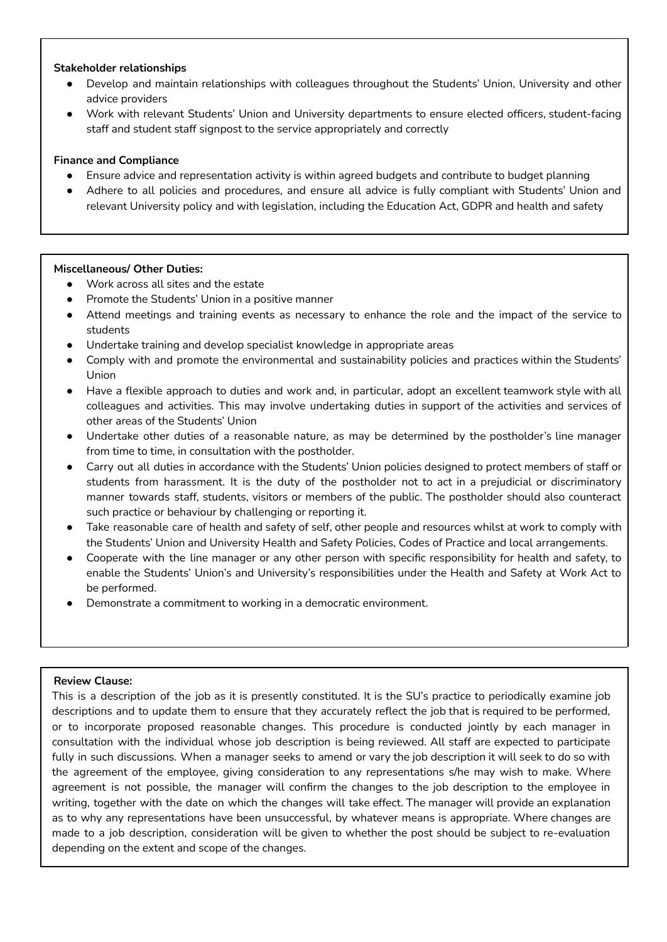## **Stakeholder relationships**

- Develop and maintain relationships with colleagues throughout the Students' Union, University and other advice providers
- Work with relevant Students' Union and University departments to ensure elected officers, student-facing staff and student staff signpost to the service appropriately and correctly

## **Finance and Compliance**

- Ensure advice and representation activity is within agreed budgets and contribute to budget planning
- Adhere to all policies and procedures, and ensure all advice is fully compliant with Students' Union and relevant University policy and with legislation, including the Education Act, GDPR and health and safety

## **Miscellaneous/ Other Duties:**

- Work across all sites and the estate
- Promote the Students' Union in a positive manner
- Attend meetings and training events as necessary to enhance the role and the impact of the service to students
- Undertake training and develop specialist knowledge in appropriate areas
- Comply with and promote the environmental and sustainability policies and practices within the Students' Union
- Have a flexible approach to duties and work and, in particular, adopt an excellent teamwork style with all colleagues and activities. This may involve undertaking duties in support of the activities and services of other areas of the Students' Union
- Undertake other duties of a reasonable nature, as may be determined by the postholder's line manager from time to time, in consultation with the postholder.
- Carry out all duties in accordance with the Students' Union policies designed to protect members of staff or students from harassment. It is the duty of the postholder not to act in a prejudicial or discriminatory manner towards staff, students, visitors or members of the public. The postholder should also counteract such practice or behaviour by challenging or reporting it.
- Take reasonable care of health and safety of self, other people and resources whilst at work to comply with the Students' Union and University Health and Safety Policies, Codes of Practice and local arrangements.
- Cooperate with the line manager or any other person with specific responsibility for health and safety, to enable the Students' Union's and University's responsibilities under the Health and Safety at Work Act to be performed.
- Demonstrate a commitment to working in a democratic environment.

## **Review Clause:**

This is a description of the job as it is presently constituted. It is the SU's practice to periodically examine job descriptions and to update them to ensure that they accurately reflect the job that is required to be performed, or to incorporate proposed reasonable changes. This procedure is conducted jointly by each manager in consultation with the individual whose job description is being reviewed. All staff are expected to participate fully in such discussions. When a manager seeks to amend or vary the job description it will seek to do so with the agreement of the employee, giving consideration to any representations s/he may wish to make. Where agreement is not possible, the manager will confirm the changes to the job description to the employee in writing, together with the date on which the changes will take effect. The manager will provide an explanation as to why any representations have been unsuccessful, by whatever means is appropriate. Where changes are made to a job description, consideration will be given to whether the post should be subject to re-evaluation depending on the extent and scope of the changes.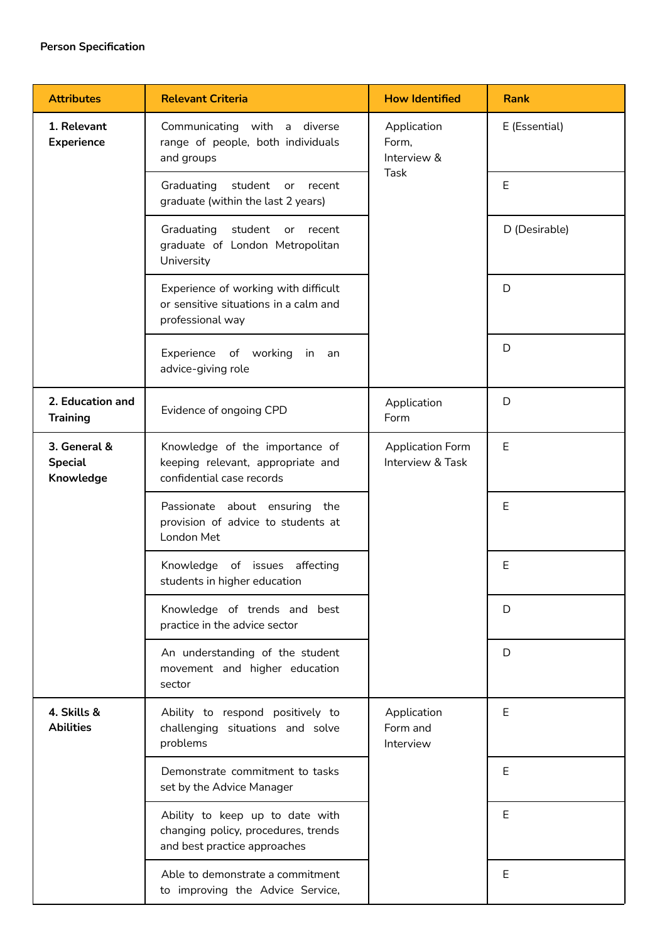| <b>Attributes</b>                           | <b>Relevant Criteria</b>                                                                               | <b>How Identified</b>                              | <b>Rank</b>   |
|---------------------------------------------|--------------------------------------------------------------------------------------------------------|----------------------------------------------------|---------------|
| 1. Relevant<br><b>Experience</b>            | Communicating with a diverse<br>range of people, both individuals<br>and groups                        | Application<br>Form,<br>Interview &<br><b>Task</b> | E (Essential) |
|                                             | Graduating student or<br>recent<br>graduate (within the last 2 years)                                  |                                                    | $\mathsf E$   |
|                                             | student or recent<br>Graduating<br>graduate of London Metropolitan<br>University                       |                                                    | D (Desirable) |
|                                             | Experience of working with difficult<br>or sensitive situations in a calm and<br>professional way      |                                                    | D             |
|                                             | Experience of working in<br>an<br>advice-giving role                                                   |                                                    | D             |
| 2. Education and<br><b>Training</b>         | Evidence of ongoing CPD                                                                                | Application<br>Form                                | D             |
| 3. General &<br><b>Special</b><br>Knowledge | Knowledge of the importance of<br>keeping relevant, appropriate and<br>confidential case records       | <b>Application Form</b><br>Interview & Task        | E             |
|                                             | Passionate about ensuring the<br>provision of advice to students at<br>London Met                      |                                                    | Ε             |
|                                             | Knowledge of issues affecting<br>students in higher education                                          |                                                    | E             |
|                                             | Knowledge of trends and best<br>practice in the advice sector                                          |                                                    | D             |
|                                             | An understanding of the student<br>movement and higher education<br>sector                             |                                                    | D             |
| 4. Skills &<br><b>Abilities</b>             | Ability to respond positively to<br>challenging situations and solve<br>problems                       | Application<br>Form and<br>Interview               | Е             |
|                                             | Demonstrate commitment to tasks<br>set by the Advice Manager                                           |                                                    | E             |
|                                             | Ability to keep up to date with<br>changing policy, procedures, trends<br>and best practice approaches |                                                    | Ε             |
|                                             | Able to demonstrate a commitment<br>to improving the Advice Service,                                   |                                                    | Ε             |